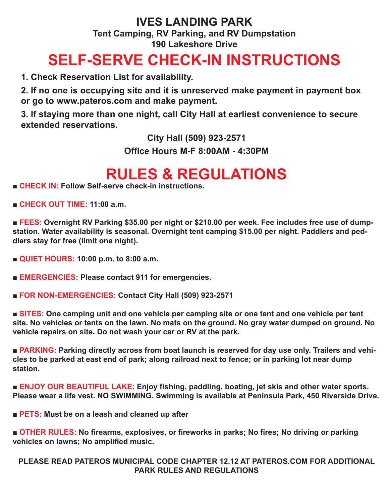## **IVES LANDING PARK Tent Camping, RV Parking, and RV Dumpstation 190 Lakeshore Drive**

## **SELF-SERVE CHECK-IN INSTRUCTIONS**

**1. Check Reservation List for availability.** 

**2. If no one is occupying site and it is unreserved make payment in payment box or go to www.pateros.com and make payment.** 

**3. If staying more than one night, call City Hall at earliest convenience to secure extended reservations.** 

**City Hall (509) 923-2571** 

**Office Hours M-F 8:00AM - 4:30PM**

## **RULES & REGULATIONS**

■ **CHECK IN: Follow Self-serve check-in instructions.** 

**■ CHECK OUT TIME: 11:00 a.m.**

■ FEES: Overnight RV Parking \$35.00 per night or \$210.00 per week. Fee includes free use of dump**station. Water availability is seasonal. Overnight tent camping \$15.00 per night. Paddlers and peddlers stay for free (limit one night).**

**■ QUIET HOURS: 10:00 p.m. to 8:00 a.m.**

■ **EMERGENCIES: Please contact 911 for emergencies.** 

**■ FOR NON-EMERGENCIES: Contact City Hall (509) 923-2571**

■ **SITES:** One camping unit and one vehicle per camping site or one tent and one vehicle per tent **site. No vehicles or tents on the lawn. No mats on the ground. No gray water dumped on ground. No vehicle repairs on site. Do not wash your car or RV at the park.** 

■ **PARKING:** Parking directly across from boat launch is reserved for day use only. Trailers and vehi**cles to be parked at east end of park; along railroad next to fence; or in parking lot near dump station.** 

■ **ENJOY OUR BEAUTIFUL LAKE:** Enjoy fishing, paddling, boating, jet skis and other water sports. **Please wear a life vest. NO SWIMMING. Swimming is available at Peninsula Park, 450 Riverside Drive.**

■ **PETS:** Must be on a leash and cleaned up after

■ **OTHER RULES:** No firearms, explosives, or fireworks in parks; No fires; No driving or parking **vehicles on lawns; No amplified music.** 

**PLEASE READ PATEROS MUNICIPAL CODE CHAPTER 12.12 AT PATEROS.COM FOR ADDITIONAL PARK RULES AND REGULATIONS**